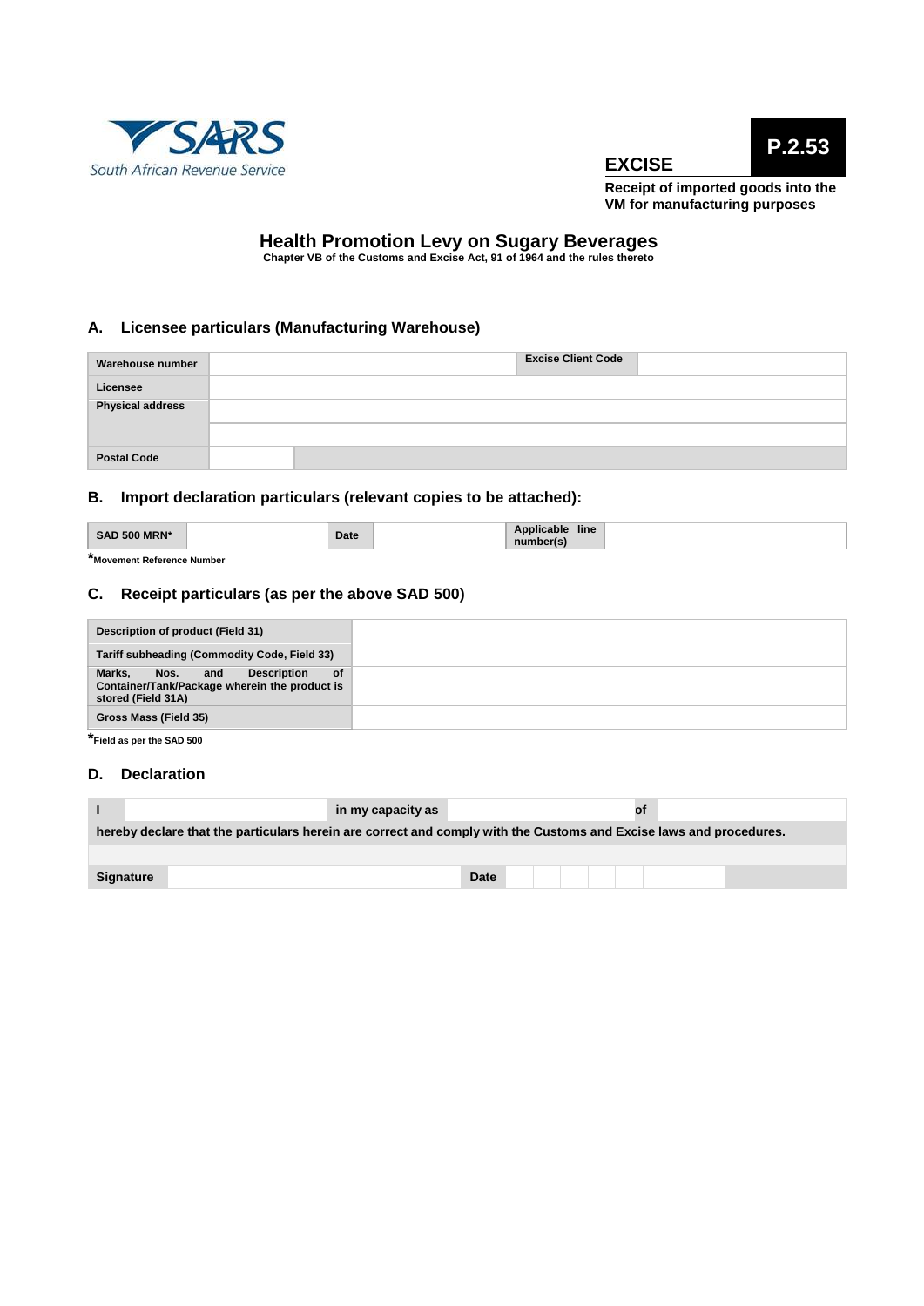





**Receipt of imported goods into the VM for manufacturing purposes**

# **Health Promotion Levy on Sugary Beverages Chapter VB of the Customs and Excise Act, 91 of 1964 and the rules thereto**

## **A. Licensee particulars (Manufacturing Warehouse)**

| Warehouse number        | <b>Excise Client Code</b> |
|-------------------------|---------------------------|
| Licensee                |                           |
| <b>Physical address</b> |                           |
| <b>Postal Code</b>      |                           |

## **B. Import declaration particulars (relevant copies to be attached):**

| <b>SAD 500 MRN*</b> | Date | $\cdots$<br>$-1$<br>line<br>Applicable<br>number(s) |  |
|---------------------|------|-----------------------------------------------------|--|
|                     |      |                                                     |  |

**\*Movement Reference Number**

## **C. Receipt particulars (as per the above SAD 500)**

| Description of product (Field 31)                                                                                     |  |
|-----------------------------------------------------------------------------------------------------------------------|--|
| Tariff subheading (Commodity Code, Field 33)                                                                          |  |
| Marks.<br><b>Description</b><br>Nos. and<br>0f<br>Container/Tank/Package wherein the product is<br>stored (Field 31A) |  |
| Gross Mass (Field 35)                                                                                                 |  |

**\*Field as per the SAD <sup>500</sup>**

#### **D. Declaration**

|                                                                                                                    | in my capacity as |             |  |  | Οt |  |  |  |  |
|--------------------------------------------------------------------------------------------------------------------|-------------------|-------------|--|--|----|--|--|--|--|
| hereby declare that the particulars herein are correct and comply with the Customs and Excise laws and procedures. |                   |             |  |  |    |  |  |  |  |
|                                                                                                                    |                   |             |  |  |    |  |  |  |  |
| <b>Signature</b>                                                                                                   |                   | <b>Date</b> |  |  |    |  |  |  |  |